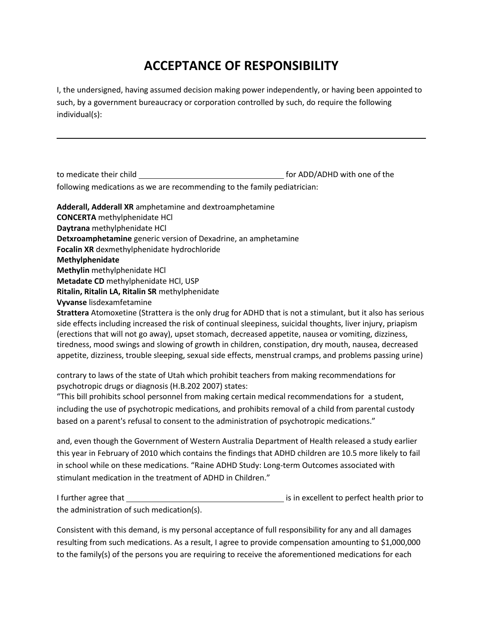## **ACCEPTANCE OF RESPONSIBILITY**

I, the undersigned, having assumed decision making power independently, or having been appointed to such, by a government bureaucracy or corporation controlled by such, do require the following individual(s):

to medicate their child for ADD/ADHD with one of the

following medications as we are recommending to the family pediatrician:

**Adderall, Adderall XR** amphetamine and dextroamphetamine **CONCERTA** methylphenidate HCl **Daytrana** methylphenidate HCl **Detxroamphetamine** generic version of Dexadrine, an amphetamine **Focalin XR** dexmethylphenidate hydrochloride **Methylphenidate Methylin** methylphenidate HCl **Metadate CD** methylphenidate HCl, USP **Ritalin, Ritalin LA, Ritalin SR** methylphenidate **Vyvanse** lisdexamfetamine

**Strattera** Atomoxetine (Strattera is the only drug for ADHD that is not a stimulant, but it also has serious side effects including increased the risk of continual sleepiness, suicidal thoughts, liver injury, priapism (erections that will not go away), upset stomach, decreased appetite, nausea or vomiting, dizziness, tiredness, mood swings and slowing of growth in children, constipation, dry mouth, nausea, decreased appetite, dizziness, trouble sleeping, sexual side effects, menstrual cramps, and problems passing urine)

contrary to laws of the state of Utah which prohibit teachers from making recommendations for psychotropic drugs or diagnosis (H.B.202 2007) states:

"This bill prohibits school personnel from making certain medical recommendations for a student, including the use of psychotropic medications, and prohibits removal of a child from parental custody based on a parent's refusal to consent to the administration of psychotropic medications."

and, even though the Government of Western Australia Department of Health released a study earlier this year in February of 2010 which contains the findings that ADHD children are 10.5 more likely to fail in school while on these medications. "Raine ADHD Study: Long-term Outcomes associated with stimulant medication in the treatment of ADHD in Children."

I further agree that <u>is in excellent</u> to perfect health prior to the administration of such medication(s).

Consistent with this demand, is my personal acceptance of full responsibility for any and all damages resulting from such medications. As a result, I agree to provide compensation amounting to \$1,000,000 to the family(s) of the persons you are requiring to receive the aforementioned medications for each